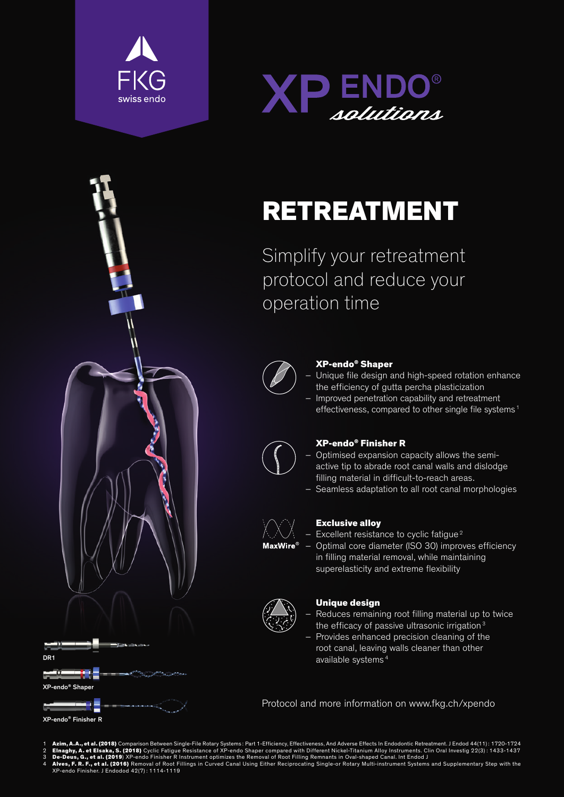





XP-endo<sup>®</sup> Shape

XP-endo® Finisher R

DR1

 $\sim$   $\sim$ 



# RETREATMENT

Simplify your retreatment protocol and reduce your operation time



## XP-endo® Shaper

– Unique file design and high-speed rotation enhance the efficiency of gutta percha plasticization – Improved penetration capability and retreatment

effectiveness, compared to other single file systems<sup>1</sup>



## XP-endo® Finisher R

- Optimised expansion capacity allows the semiactive tip to abrade root canal walls and dislodge filling material in difficult-to-reach areas.
- Seamless adaptation to all root canal morphologies



## Exclusive alloy

- Excellent resistance to cyclic fatigue<sup>2</sup>
- Optimal core diameter (ISO 30) improves efficiency in filling material removal, while maintaining superelasticity and extreme flexibility



## Unique design

- Reduces remaining root filling material up to twice the efficacy of passive ultrasonic irrigation<sup>3</sup>
- Provides enhanced precision cleaning of the root canal, leaving walls cleaner than other available systems <sup>4</sup>

Protocol and more information on www.fkg.ch/xpendo

- 
- 

**Azim, A.A., et al. (2018)** Comparison Between Single-File Rotary Systems: Part 1-Efficiency, Effectiveness, And Adverse Effects In Endodontic Retreatment. J Endod 44(11): 1720-1724<br>2 Elnaghy, A. et Elsaka, S. (2018) Cycli